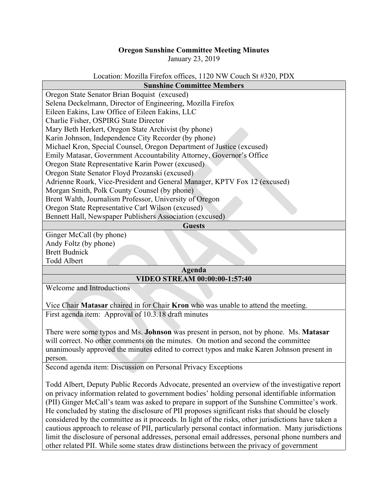## **Oregon Sunshine Committee Meeting Minutes**

January 23, 2019

## Location: Mozilla Firefox offices, 1120 NW Couch St #320, PDX

| <b>Sunshine Committee Members</b>                                         |
|---------------------------------------------------------------------------|
| Oregon State Senator Brian Boquist (excused)                              |
| Selena Deckelmann, Director of Engineering, Mozilla Firefox               |
| Eileen Eakins, Law Office of Eileen Eakins, LLC                           |
| Charlie Fisher, OSPIRG State Director                                     |
| Mary Beth Herkert, Oregon State Archivist (by phone)                      |
| Karin Johnson, Independence City Recorder (by phone)                      |
| Michael Kron, Special Counsel, Oregon Department of Justice (excused)     |
| Emily Matasar, Government Accountability Attorney, Governor's Office      |
| Oregon State Representative Karin Power (excused)                         |
| Oregon State Senator Floyd Prozanski (excused)                            |
| Adrienne Roark, Vice-President and General Manager, KPTV Fox 12 (excused) |
| Morgan Smith, Polk County Counsel (by phone)                              |
| Brent Walth, Journalism Professor, University of Oregon                   |
| Oregon State Representative Carl Wilson (excused)                         |
| Bennett Hall, Newspaper Publishers Association (excused)                  |
| <b>Guests</b>                                                             |

Ginger McCall (by phone) Andy Foltz (by phone) Brett Budnick Todd Albert

## **Agenda**

## **VIDEO STREAM 00:00:00-1:57:40**

Welcome and Introductions

Vice Chair **Matasar** chaired in for Chair **Kron** who was unable to attend the meeting. First agenda item: Approval of 10.3.18 draft minutes

There were some typos and Ms. **Johnson** was present in person, not by phone. Ms. **Matasar** will correct. No other comments on the minutes. On motion and second the committee unanimously approved the minutes edited to correct typos and make Karen Johnson present in person.

Second agenda item: Discussion on Personal Privacy Exceptions

Todd Albert, Deputy Public Records Advocate, presented an overview of the investigative report on privacy information related to government bodies' holding personal identifiable information (PII) Ginger McCall's team was asked to prepare in support of the Sunshine Committee's work. He concluded by stating the disclosure of PII proposes significant risks that should be closely considered by the committee as it proceeds. In light of the risks, other jurisdictions have taken a cautious approach to release of PII, particularly personal contact information. Many jurisdictions limit the disclosure of personal addresses, personal email addresses, personal phone numbers and other related PII. While some states draw distinctions between the privacy of government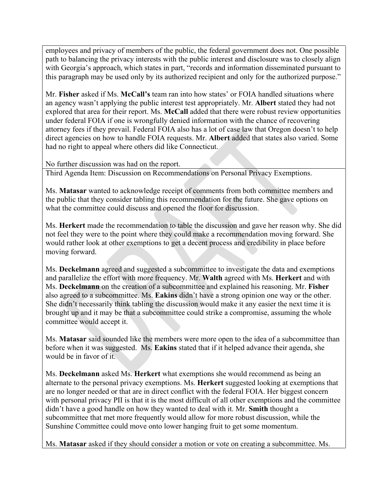employees and privacy of members of the public, the federal government does not. One possible path to balancing the privacy interests with the public interest and disclosure was to closely align with Georgia's approach, which states in part, "records and information disseminated pursuant to this paragraph may be used only by its authorized recipient and only for the authorized purpose."

Mr. **Fisher** asked if Ms. **McCall's** team ran into how states' or FOIA handled situations where an agency wasn't applying the public interest test appropriately. Mr. **Albert** stated they had not explored that area for their report. Ms. **McCall** added that there were robust review opportunities under federal FOIA if one is wrongfully denied information with the chance of recovering attorney fees if they prevail. Federal FOIA also has a lot of case law that Oregon doesn't to help direct agencies on how to handle FOIA requests. Mr. **Albert** added that states also varied. Some had no right to appeal where others did like Connecticut.

No further discussion was had on the report.

Third Agenda Item: Discussion on Recommendations on Personal Privacy Exemptions.

Ms. **Matasar** wanted to acknowledge receipt of comments from both committee members and the public that they consider tabling this recommendation for the future. She gave options on what the committee could discuss and opened the floor for discussion.

Ms. **Herkert** made the recommendation to table the discussion and gave her reason why. She did not feel they were to the point where they could make a recommendation moving forward. She would rather look at other exemptions to get a decent process and credibility in place before moving forward.

Ms. **Deckelmann** agreed and suggested a subcommittee to investigate the data and exemptions and parallelize the effort with more frequency. Mr. **Walth** agreed with Ms. **Herkert** and with Ms. **Deckelmann** on the creation of a subcommittee and explained his reasoning. Mr. **Fisher** also agreed to a subcommittee. Ms. **Eakins** didn't have a strong opinion one way or the other. She didn't necessarily think tabling the discussion would make it any easier the next time it is brought up and it may be that a subcommittee could strike a compromise, assuming the whole committee would accept it.

Ms. **Matasar** said sounded like the members were more open to the idea of a subcommittee than before when it was suggested. Ms. **Eakins** stated that if it helped advance their agenda, she would be in favor of it.

Ms. **Deckelmann** asked Ms. **Herkert** what exemptions she would recommend as being an alternate to the personal privacy exemptions. Ms. **Herkert** suggested looking at exemptions that are no longer needed or that are in direct conflict with the federal FOIA. Her biggest concern with personal privacy PII is that it is the most difficult of all other exemptions and the committee didn't have a good handle on how they wanted to deal with it. Mr. **Smith** thought a subcommittee that met more frequently would allow for more robust discussion, while the Sunshine Committee could move onto lower hanging fruit to get some momentum.

Ms. **Matasar** asked if they should consider a motion or vote on creating a subcommittee. Ms.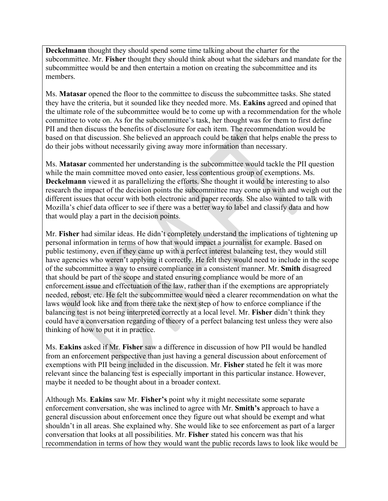**Deckelmann** thought they should spend some time talking about the charter for the subcommittee. Mr. **Fisher** thought they should think about what the sidebars and mandate for the subcommittee would be and then entertain a motion on creating the subcommittee and its members.

Ms. **Matasar** opened the floor to the committee to discuss the subcommittee tasks. She stated they have the criteria, but it sounded like they needed more. Ms. **Eakins** agreed and opined that the ultimate role of the subcommittee would be to come up with a recommendation for the whole committee to vote on. As for the subcommittee's task, her thought was for them to first define PII and then discuss the benefits of disclosure for each item. The recommendation would be based on that discussion. She believed an approach could be taken that helps enable the press to do their jobs without necessarily giving away more information than necessary.

Ms. **Matasar** commented her understanding is the subcommittee would tackle the PII question while the main committee moved onto easier, less contentious group of exemptions. Ms. **Deckelmann** viewed it as parallelizing the efforts. She thought it would be interesting to also research the impact of the decision points the subcommittee may come up with and weigh out the different issues that occur with both electronic and paper records. She also wanted to talk with Mozilla's chief data officer to see if there was a better way to label and classify data and how that would play a part in the decision points.

Mr. **Fisher** had similar ideas. He didn't completely understand the implications of tightening up personal information in terms of how that would impact a journalist for example. Based on public testimony, even if they came up with a perfect interest balancing test, they would still have agencies who weren't applying it correctly. He felt they would need to include in the scope of the subcommittee a way to ensure compliance in a consistent manner. Mr. **Smith** disagreed that should be part of the scope and stated ensuring compliance would be more of an enforcement issue and effectuation of the law, rather than if the exemptions are appropriately needed, rebost, etc. He felt the subcommittee would need a clearer recommendation on what the laws would look like and from there take the next step of how to enforce compliance if the balancing test is not being interpreted correctly at a local level. Mr. **Fisher** didn't think they could have a conversation regarding of theory of a perfect balancing test unless they were also thinking of how to put it in practice.

Ms. **Eakins** asked if Mr. **Fisher** saw a difference in discussion of how PII would be handled from an enforcement perspective than just having a general discussion about enforcement of exemptions with PII being included in the discussion. Mr. **Fisher** stated he felt it was more relevant since the balancing test is especially important in this particular instance. However, maybe it needed to be thought about in a broader context.

Although Ms. **Eakins** saw Mr. **Fisher's** point why it might necessitate some separate enforcement conversation, she was inclined to agree with Mr. **Smith's** approach to have a general discussion about enforcement once they figure out what should be exempt and what shouldn't in all areas. She explained why. She would like to see enforcement as part of a larger conversation that looks at all possibilities. Mr. **Fisher** stated his concern was that his recommendation in terms of how they would want the public records laws to look like would be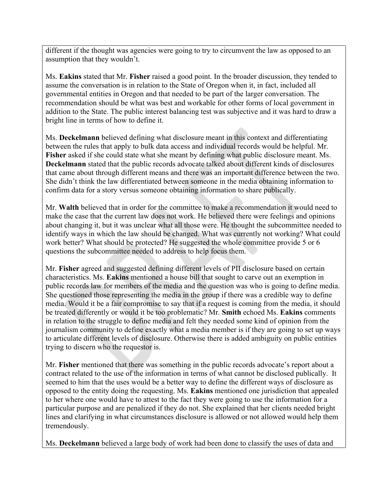different if the thought was agencies were going to try to circumvent the law as opposed to an assumption that they wouldn't.

Ms. **Eakins** stated that Mr. **Fisher** raised a good point. In the broader discussion, they tended to assume the conversation is in relation to the State of Oregon when it, in fact, included all governmental entities in Oregon and that needed to be part of the larger conversation. The recommendation should be what was best and workable for other forms of local government in addition to the State. The public interest balancing test was subjective and it was hard to draw a bright line in terms of how to define it.

Ms. **Deckelmann** believed defining what disclosure meant in this context and differentiating between the rules that apply to bulk data access and individual records would be helpful. Mr. **Fisher** asked if she could state what she meant by defining what public disclosure meant. Ms. **Deckelmann** stated that the public records advocate talked about different kinds of disclosures that came about through different means and there was an important difference between the two. She didn't think the law differentiated between someone in the media obtaining information to confirm data for a story versus someone obtaining information to share publically.

Mr. **Walth** believed that in order for the committee to make a recommendation it would need to make the case that the current law does not work. He believed there were feelings and opinions about changing it, but it was unclear what all those were. He thought the subcommittee needed to identify ways in which the law should be changed. What was currently not working? What could work better? What should be protected? He suggested the whole committee provide 5 or 6 questions the subcommittee needed to address to help focus them.

Mr. **Fisher** agreed and suggested defining different levels of PII disclosure based on certain characteristics. Ms. **Eakins** mentioned a house bill that sought to carve out an exemption in public records law for members of the media and the question was who is going to define media. She questioned those representing the media in the group if there was a credible way to define media. Would it be a fair compromise to say that if a request is coming from the media, it should be treated differently or would it be too problematic? Mr. **Smith** echoed Ms. **Eakins** comments in relation to the struggle to define media and felt they needed some kind of opinion from the journalism community to define exactly what a media member is if they are going to set up ways to articulate different levels of disclosure. Otherwise there is added ambiguity on public entities trying to discern who the requestor is.

Mr. **Fisher** mentioned that there was something in the public records advocate's report about a contract related to the use of the information in terms of what cannot be disclosed publically. It seemed to him that the uses would be a better way to define the different ways of disclosure as opposed to the entity doing the requesting. Ms. **Eakins** mentioned one jurisdiction that appealed to her where one would have to attest to the fact they were going to use the information for a particular purpose and are penalized if they do not. She explained that her clients needed bright lines and clarifying in what circumstances disclosure is allowed or not allowed would help them tremendously.

Ms. **Deckelmann** believed a large body of work had been done to classify the uses of data and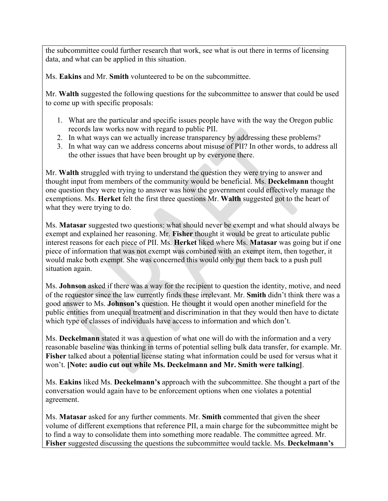the subcommittee could further research that work, see what is out there in terms of licensing data, and what can be applied in this situation.

Ms. **Eakins** and Mr. **Smith** volunteered to be on the subcommittee.

Mr. **Walth** suggested the following questions for the subcommittee to answer that could be used to come up with specific proposals:

- 1. What are the particular and specific issues people have with the way the Oregon public records law works now with regard to public PII.
- 2. In what ways can we actually increase transparency by addressing these problems?
- 3. In what way can we address concerns about misuse of PII? In other words, to address all the other issues that have been brought up by everyone there.

Mr. **Walth** struggled with trying to understand the question they were trying to answer and thought input from members of the community would be beneficial. Ms. **Deckelmann** thought one question they were trying to answer was how the government could effectively manage the exemptions. Ms. **Herket** felt the first three questions Mr. **Walth** suggested got to the heart of what they were trying to do.

Ms. **Matasar** suggested two questions: what should never be exempt and what should always be exempt and explained her reasoning. Mr. **Fisher** thought it would be great to articulate public interest reasons for each piece of PII. Ms. **Herket** liked where Ms. **Matasar** was going but if one piece of information that was not exempt was combined with an exempt item, then together, it would make both exempt. She was concerned this would only put them back to a push pull situation again.

Ms. **Johnson** asked if there was a way for the recipient to question the identity, motive, and need of the requestor since the law currently finds these irrelevant. Mr. **Smith** didn't think there was a good answer to Ms. **Johnson's** question. He thought it would open another minefield for the public entities from unequal treatment and discrimination in that they would then have to dictate which type of classes of individuals have access to information and which don't.

Ms. **Deckelmann** stated it was a question of what one will do with the information and a very reasonable baseline was thinking in terms of potential selling bulk data transfer, for example. Mr. **Fisher** talked about a potential license stating what information could be used for versus what it won't. **[Note: audio cut out while Ms. Deckelmann and Mr. Smith were talking]**.

Ms. **Eakins** liked Ms. **Deckelmann's** approach with the subcommittee. She thought a part of the conversation would again have to be enforcement options when one violates a potential agreement.

Ms. **Matasar** asked for any further comments. Mr. **Smith** commented that given the sheer volume of different exemptions that reference PII, a main charge for the subcommittee might be to find a way to consolidate them into something more readable. The committee agreed. Mr. **Fisher** suggested discussing the questions the subcommittee would tackle. Ms. **Deckelmann's**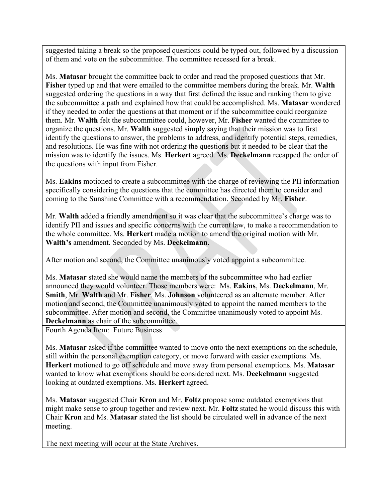suggested taking a break so the proposed questions could be typed out, followed by a discussion of them and vote on the subcommittee. The committee recessed for a break.

Ms. **Matasar** brought the committee back to order and read the proposed questions that Mr. **Fisher** typed up and that were emailed to the committee members during the break. Mr. **Walth** suggested ordering the questions in a way that first defined the issue and ranking them to give the subcommittee a path and explained how that could be accomplished. Ms. **Matasar** wondered if they needed to order the questions at that moment or if the subcommittee could reorganize them. Mr. **Walth** felt the subcommittee could, however, Mr. **Fisher** wanted the committee to organize the questions. Mr. **Walth** suggested simply saying that their mission was to first identify the questions to answer, the problems to address, and identify potential steps, remedies, and resolutions. He was fine with not ordering the questions but it needed to be clear that the mission was to identify the issues. Ms. **Herkert** agreed. Ms. **Deckelmann** recapped the order of the questions with input from Fisher.

Ms. **Eakins** motioned to create a subcommittee with the charge of reviewing the PII information specifically considering the questions that the committee has directed them to consider and coming to the Sunshine Committee with a recommendation. Seconded by Mr. **Fisher**.

Mr. **Walth** added a friendly amendment so it was clear that the subcommittee's charge was to identify PII and issues and specific concerns with the current law, to make a recommendation to the whole committee. Ms. **Herkert** made a motion to amend the original motion with Mr. **Walth's** amendment. Seconded by Ms. **Deckelmann**.

After motion and second, the Committee unanimously voted appoint a subcommittee.

Ms. **Matasar** stated she would name the members of the subcommittee who had earlier announced they would volunteer. Those members were: Ms. **Eakins**, Ms. **Deckelmann**, Mr. **Smith**, Mr. **Walth** and Mr. **Fisher**. Ms. **Johnson** volunteered as an alternate member. After motion and second, the Committee unanimously voted to appoint the named members to the subcommittee. After motion and second, the Committee unanimously voted to appoint Ms. **Deckelmann** as chair of the subcommittee.

Fourth Agenda Item: Future Business

Ms. **Matasar** asked if the committee wanted to move onto the next exemptions on the schedule, still within the personal exemption category, or move forward with easier exemptions. Ms. **Herkert** motioned to go off schedule and move away from personal exemptions. Ms. **Matasar** wanted to know what exemptions should be considered next. Ms. **Deckelmann** suggested looking at outdated exemptions. Ms. **Herkert** agreed.

Ms. **Matasar** suggested Chair **Kron** and Mr. **Foltz** propose some outdated exemptions that might make sense to group together and review next. Mr. **Foltz** stated he would discuss this with Chair **Kron** and Ms. **Matasar** stated the list should be circulated well in advance of the next meeting.

The next meeting will occur at the State Archives.